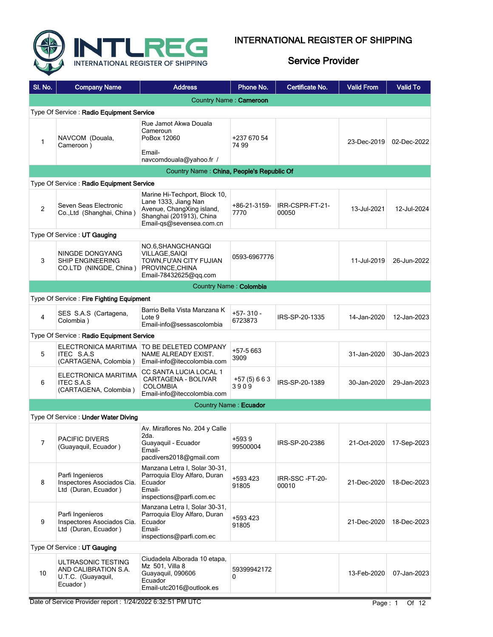

| SI. No.          | <b>Company Name</b>                                                          | <b>Address</b>                                                                                                                             | Phone No.              | Certificate No.          | <b>Valid From</b> | <b>Valid To</b> |  |  |  |
|------------------|------------------------------------------------------------------------------|--------------------------------------------------------------------------------------------------------------------------------------------|------------------------|--------------------------|-------------------|-----------------|--|--|--|
|                  |                                                                              |                                                                                                                                            | Country Name: Cameroon |                          |                   |                 |  |  |  |
|                  | Type Of Service: Radio Equipment Service                                     |                                                                                                                                            |                        |                          |                   |                 |  |  |  |
| 1                | NAVCOM (Douala,<br>Cameroon)                                                 | Rue Jamot Akwa Douala<br>Cameroun<br>PoBox 12060                                                                                           | +237 670 54<br>74 99   |                          | 23-Dec-2019       | 02-Dec-2022     |  |  |  |
|                  |                                                                              | Email-<br>navcomdouala@yahoo.fr /                                                                                                          |                        |                          |                   |                 |  |  |  |
|                  |                                                                              | Country Name: China, People's Republic Of                                                                                                  |                        |                          |                   |                 |  |  |  |
|                  | Type Of Service: Radio Equipment Service                                     |                                                                                                                                            |                        |                          |                   |                 |  |  |  |
| $\overline{2}$   | Seven Seas Electronic<br>Co., Ltd (Shanghai, China)                          | Marine Hi-Techport, Block 10,<br>Lane 1333, Jiang Nan<br>Avenue, ChangXing island,<br>Shanghai (201913), China<br>Email-qs@sevensea.com.cn | +86-21-3159-<br>7770   | IRR-CSPR-FT-21-<br>00050 | 13-Jul-2021       | 12-Jul-2024     |  |  |  |
|                  | Type Of Service: UT Gauging                                                  |                                                                                                                                            |                        |                          |                   |                 |  |  |  |
| 3                | NINGDE DONGYANG<br>SHIP ENGINEERING<br>CO.LTD (NINGDE, China)                | NO.6, SHANGCHANGQI<br><b>VILLAGE, SAIQI</b><br>TOWN, FU'AN CITY FUJIAN<br>PROVINCE, CHINA<br>Email-78432625@gg.com                         | 0593-6967776           |                          | 11-Jul-2019       | 26-Jun-2022     |  |  |  |
|                  |                                                                              |                                                                                                                                            | Country Name: Colombia |                          |                   |                 |  |  |  |
|                  | Type Of Service: Fire Fighting Equipment                                     |                                                                                                                                            |                        |                          |                   |                 |  |  |  |
| 4                | SES S.A.S (Cartagena,<br>Colombia)                                           | Barrio Bella Vista Manzana K<br>Lote 9<br>Email-info@sessascolombia                                                                        | +57-310 -<br>6723873   | IRS-SP-20-1335           | 14-Jan-2020       | 12-Jan-2023     |  |  |  |
|                  | Type Of Service: Radio Equipment Service                                     |                                                                                                                                            |                        |                          |                   |                 |  |  |  |
| 5                | <b>ITEC S.A.S</b><br>(CARTAGENA, Colombia)                                   | ELECTRONICA MARITIMA   TO BE DELETED COMPANY<br>NAME ALREADY EXIST.<br>Email-info@iteccolombia.com                                         | $+57-5663$<br>3909     |                          | 31-Jan-2020       | 30-Jan-2023     |  |  |  |
| 6                | ELECTRONICA MARITIMA<br><b>ITEC S.A.S</b><br>(CARTAGENA, Colombia)           | CC SANTA LUCIA LOCAL 1<br>CARTAGENA - BOLIVAR<br><b>COLOMBIA</b><br>Email-info@iteccolombia.com                                            | $+57(5)663$<br>3909    | IRS-SP-20-1389           | 30-Jan-2020       | 29-Jan-2023     |  |  |  |
|                  |                                                                              |                                                                                                                                            | Country Name: Ecuador  |                          |                   |                 |  |  |  |
|                  | Type Of Service: Under Water Diving                                          |                                                                                                                                            |                        |                          |                   |                 |  |  |  |
| 7                | PACIFIC DIVERS<br>(Guayaquil, Ecuador)                                       | Av. Miraflores No. 204 y Calle<br>2da.<br>Guayaquil - Ecuador<br>Email-<br>pacdivers2018@gmail.com                                         | +5939<br>99500004      | IRS-SP-20-2386           | 21-Oct-2020       | 17-Sep-2023     |  |  |  |
| 8                | Parfi Ingenieros<br>Inspectores Asociados Cia.<br>Ltd (Duran, Ecuador)       | Manzana Letra I, Solar 30-31,<br>Parroquia Eloy Alfaro, Duran<br>Ecuador<br>Email-<br>inspections@parfi.com.ec                             | +593 423<br>91805      | IRR-SSC-FT-20-<br>00010  | 21-Dec-2020       | 18-Dec-2023     |  |  |  |
| 9                | Parfi Ingenieros<br>Inspectores Asociados Cia.<br>Ltd (Duran, Ecuador)       | Manzana Letra I, Solar 30-31,<br>Parroquia Eloy Alfaro, Duran<br>Ecuador<br>Email-<br>inspections@parfi.com.ec                             | +593 423<br>91805      |                          | 21-Dec-2020       | 18-Dec-2023     |  |  |  |
|                  | Type Of Service: UT Gauging                                                  |                                                                                                                                            |                        |                          |                   |                 |  |  |  |
| 10 <sup>10</sup> | ULTRASONIC TESTING<br>AND CALIBRATION S.A.<br>U.T.C. (Guayaquil,<br>Ecuador) | Ciudadela Alborada 10 etapa,<br>Mz 501, Villa 8<br>Guayaquil, 090606<br>Ecuador<br>Email-utc2016@outlook.es                                | 59399942172<br>0       |                          | 13-Feb-2020       | 07-Jan-2023     |  |  |  |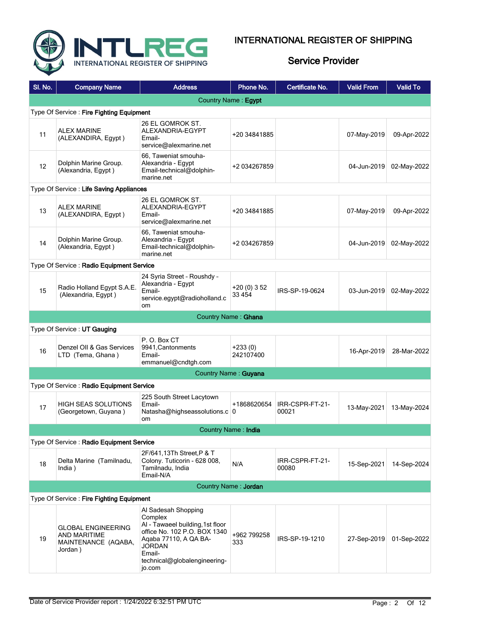

| SI. No.                                  | <b>Company Name</b>                                                         | <b>Address</b>                                                                                                                                                                                   | Phone No.                   | Certificate No.          | <b>Valid From</b> | <b>Valid To</b> |  |  |
|------------------------------------------|-----------------------------------------------------------------------------|--------------------------------------------------------------------------------------------------------------------------------------------------------------------------------------------------|-----------------------------|--------------------------|-------------------|-----------------|--|--|
|                                          |                                                                             |                                                                                                                                                                                                  | Country Name: Egypt         |                          |                   |                 |  |  |
| Type Of Service: Fire Fighting Equipment |                                                                             |                                                                                                                                                                                                  |                             |                          |                   |                 |  |  |
| 11                                       | <b>ALEX MARINE</b><br>(ALEXANDIRA, Egypt)                                   | 26 EL GOMROK ST.<br>ALEXANDRIA-EGYPT<br>Email-<br>service@alexmarine.net                                                                                                                         | +20 34841885                |                          | 07-May-2019       | 09-Apr-2022     |  |  |
| $12 \overline{ }$                        | Dolphin Marine Group.<br>(Alexandria, Egypt)                                | 66, Taweniat smouha-<br>Alexandria - Egypt<br>Email-technical@dolphin-<br>marine.net                                                                                                             | +2 034267859                |                          | 04-Jun-2019       | 02-May-2022     |  |  |
|                                          | Type Of Service: Life Saving Appliances                                     |                                                                                                                                                                                                  |                             |                          |                   |                 |  |  |
| 13                                       | <b>ALEX MARINE</b><br>(ALEXANDIRA, Egypt)                                   | 26 EL GOMROK ST.<br>ALEXANDRIA-EGYPT<br>Email-<br>service@alexmarine.net                                                                                                                         | +20 34841885                |                          | 07-May-2019       | 09-Apr-2022     |  |  |
| 14                                       | Dolphin Marine Group.<br>(Alexandria, Egypt)                                | 66, Taweniat smouha-<br>Alexandria - Egypt<br>Email-technical@dolphin-<br>marine.net                                                                                                             | +2 034267859                |                          | 04-Jun-2019       | 02-May-2022     |  |  |
|                                          | Type Of Service: Radio Equipment Service                                    |                                                                                                                                                                                                  |                             |                          |                   |                 |  |  |
| 15                                       | Radio Holland Egypt S.A.E.<br>(Alexandria, Egypt)                           | 24 Syria Street - Roushdy -<br>Alexandria - Egypt<br>Email-<br>service.egypt@radioholland.c<br>om.                                                                                               | $+20(0)352$<br>33 4 54      | IRS-SP-19-0624           | 03-Jun-2019       | 02-May-2022     |  |  |
|                                          | Country Name: Ghana                                                         |                                                                                                                                                                                                  |                             |                          |                   |                 |  |  |
|                                          | Type Of Service: UT Gauging                                                 |                                                                                                                                                                                                  |                             |                          |                   |                 |  |  |
| 16                                       | Denzel OII & Gas Services<br>LTD (Tema, Ghana)                              | P.O. Box CT<br>9941, Cantonments<br>Email-<br>emmanuel@cndtgh.com                                                                                                                                | $+233(0)$<br>242107400      |                          | 16-Apr-2019       | 28-Mar-2022     |  |  |
|                                          |                                                                             |                                                                                                                                                                                                  | <b>Country Name: Guyana</b> |                          |                   |                 |  |  |
|                                          | Type Of Service: Radio Equipment Service                                    |                                                                                                                                                                                                  |                             |                          |                   |                 |  |  |
| 17                                       | <b>HIGH SEAS SOLUTIONS</b><br>(Georgetown, Guyana)                          | 225 South Street Lacytown<br>Email-<br>Natasha@highseassolutions.c 0<br><b>om</b>                                                                                                                | +1868620654                 | IRR-CSPR-FT-21-<br>00021 | 13-May-2021       | 13-May-2024     |  |  |
|                                          |                                                                             |                                                                                                                                                                                                  | Country Name: India         |                          |                   |                 |  |  |
|                                          | Type Of Service: Radio Equipment Service                                    |                                                                                                                                                                                                  |                             |                          |                   |                 |  |  |
| 18                                       | Delta Marine (Tamilnadu,<br>India)                                          | 2F/641,13Th Street, P & T<br>Colony. Tuticorin - 628 008.<br>Tamilnadu, India<br>Email-N/A                                                                                                       | N/A                         | IRR-CSPR-FT-21-<br>00080 | 15-Sep-2021       | 14-Sep-2024     |  |  |
|                                          |                                                                             |                                                                                                                                                                                                  | Country Name: Jordan        |                          |                   |                 |  |  |
|                                          | Type Of Service: Fire Fighting Equipment                                    |                                                                                                                                                                                                  |                             |                          |                   |                 |  |  |
| 19                                       | <b>GLOBAL ENGINEERING</b><br>AND MARITIME<br>MAINTENANCE (AQABA,<br>Jordan) | Al Sadesah Shopping<br>Complex<br>Al - Tawaeel building, 1st floor<br>office No. 102 P.O. BOX 1340<br>Agaba 77110, A QA BA-<br><b>JORDAN</b><br>Email-<br>technical@globalengineering-<br>jo.com | +962 799258<br>333          | IRS-SP-19-1210           | 27-Sep-2019       | 01-Sep-2022     |  |  |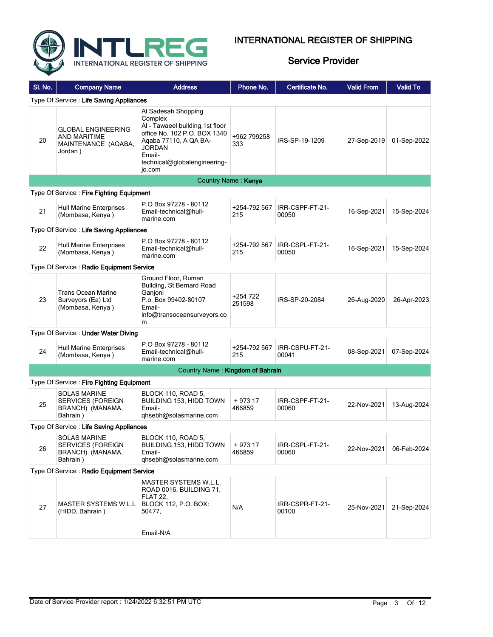

| SI. No.                                 | <b>Company Name</b>                                                                | <b>Address</b>                                                                                                                                                                                   | Phone No.           | Certificate No.          | <b>Valid From</b> | <b>Valid To</b> |  |  |
|-----------------------------------------|------------------------------------------------------------------------------------|--------------------------------------------------------------------------------------------------------------------------------------------------------------------------------------------------|---------------------|--------------------------|-------------------|-----------------|--|--|
| Type Of Service: Life Saving Appliances |                                                                                    |                                                                                                                                                                                                  |                     |                          |                   |                 |  |  |
| 20                                      | <b>GLOBAL ENGINEERING</b><br><b>AND MARITIME</b><br>MAINTENANCE (AQABA,<br>Jordan) | Al Sadesah Shopping<br>Complex<br>Al - Tawaeel building, 1st floor<br>office No. 102 P.O. BOX 1340<br>Agaba 77110, A QA BA-<br><b>JORDAN</b><br>Email-<br>technical@globalengineering-<br>jo.com | +962 799258<br>333  | IRS-SP-19-1209           | 27-Sep-2019       | 01-Sep-2022     |  |  |
|                                         |                                                                                    |                                                                                                                                                                                                  | Country Name: Kenya |                          |                   |                 |  |  |
|                                         | Type Of Service: Fire Fighting Equipment                                           |                                                                                                                                                                                                  |                     |                          |                   |                 |  |  |
| 21                                      | <b>Hull Marine Enterprises</b><br>(Mombasa, Kenya)                                 | P.O Box 97278 - 80112<br>Email-technical@hull-<br>marine.com                                                                                                                                     | +254-792 567<br>215 | IRR-CSPF-FT-21-<br>00050 | 16-Sep-2021       | 15-Sep-2024     |  |  |
|                                         | Type Of Service: Life Saving Appliances                                            |                                                                                                                                                                                                  |                     |                          |                   |                 |  |  |
| 22                                      | <b>Hull Marine Enterprises</b><br>(Mombasa, Kenya)                                 | P.O Box 97278 - 80112<br>Email-technical@hull-<br>marine.com                                                                                                                                     | +254-792 567<br>215 | IRR-CSPL-FT-21-<br>00050 | 16-Sep-2021       | 15-Sep-2024     |  |  |
|                                         | Type Of Service: Radio Equipment Service                                           |                                                                                                                                                                                                  |                     |                          |                   |                 |  |  |
| 23                                      | <b>Trans Ocean Marine</b><br>Surveyors (Ea) Ltd<br>(Mombasa, Kenya)                | Ground Floor, Ruman<br>Building, St Bernard Road<br>Ganjoni<br>P.o. Box 99402-80107<br>Email-<br>info@transoceansurveyors.co<br>m                                                                | +254 722<br>251598  | IRS-SP-20-2084           | 26-Aug-2020       | 26-Apr-2023     |  |  |
|                                         | Type Of Service: Under Water Diving                                                |                                                                                                                                                                                                  |                     |                          |                   |                 |  |  |
| 24                                      | <b>Hull Marine Enterprises</b><br>(Mombasa, Kenya)                                 | P.O Box 97278 - 80112<br>Email-technical@hull-<br>marine.com                                                                                                                                     | +254-792 567<br>215 | IRR-CSPU-FT-21-<br>00041 | 08-Sep-2021       | 07-Sep-2024     |  |  |
|                                         |                                                                                    | Country Name: Kingdom of Bahrain                                                                                                                                                                 |                     |                          |                   |                 |  |  |
|                                         | Type Of Service: Fire Fighting Equipment                                           |                                                                                                                                                                                                  |                     |                          |                   |                 |  |  |
| 25                                      | <b>SOLAS MARINE</b><br><b>SERVICES (FOREIGN</b><br>BRANCH) (MANAMA,<br>Bahrain)    | <b>BLOCK 110, ROAD 5,</b><br>BUILDING 153, HIDD TOWN<br>Email-<br>qhsebh@solasmarine.com                                                                                                         | $+97317$<br>466859  | IRR-CSPF-FT-21-<br>00060 | 22-Nov-2021       | 13-Aug-2024     |  |  |
|                                         | Type Of Service: Life Saving Appliances                                            |                                                                                                                                                                                                  |                     |                          |                   |                 |  |  |
| 26                                      | <b>SOLAS MARINE</b><br>SERVICES (FOREIGN<br>BRANCH) (MANAMA,<br>Bahrain)           | BLOCK 110, ROAD 5,<br>BUILDING 153, HIDD TOWN<br>Email-<br>qhsebh@solasmarine.com                                                                                                                | + 973 17<br>466859  | IRR-CSPL-FT-21-<br>00060 | 22-Nov-2021       | 06-Feb-2024     |  |  |
|                                         | Type Of Service: Radio Equipment Service                                           |                                                                                                                                                                                                  |                     |                          |                   |                 |  |  |
| 27                                      | MASTER SYSTEMS W.L.L<br>(HIDD, Bahrain)                                            | <b>MASTER SYSTEMS W.L.L.</b><br>ROAD 0016, BUILDING 71,<br><b>FLAT 22.</b><br><b>BLOCK 112, P.O. BOX:</b><br>50477,<br>Email-N/A                                                                 | N/A                 | IRR-CSPR-FT-21-<br>00100 | 25-Nov-2021       | 21-Sep-2024     |  |  |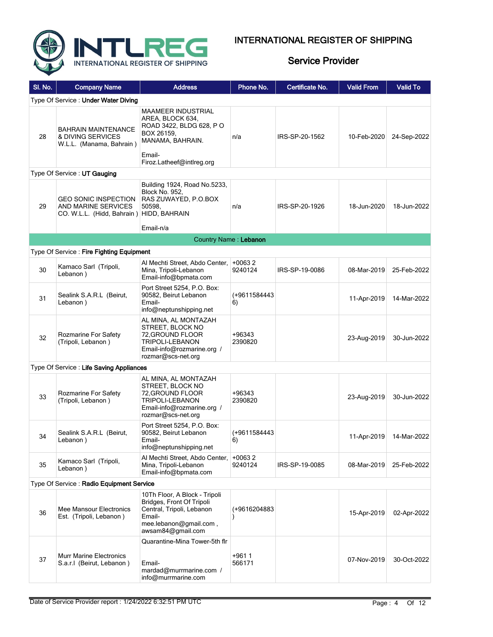



| SI. No. | <b>Company Name</b>                                                                            | <b>Address</b>                                                                                                                                    | Phone No.             | Certificate No. | <b>Valid From</b> | <b>Valid To</b> |  |  |  |
|---------|------------------------------------------------------------------------------------------------|---------------------------------------------------------------------------------------------------------------------------------------------------|-----------------------|-----------------|-------------------|-----------------|--|--|--|
|         | Type Of Service: Under Water Diving                                                            |                                                                                                                                                   |                       |                 |                   |                 |  |  |  |
| 28      | <b>BAHRAIN MAINTENANCE</b><br>& DIVING SERVICES<br>W.L.L. (Manama, Bahrain)                    | <b>MAAMEER INDUSTRIAL</b><br>AREA, BLOCK 634,<br>ROAD 3422, BLDG 628, PO<br>BOX 26159,<br>MANAMA, BAHRAIN.<br>Email-<br>Firoz.Latheef@intlreg.org | n/a                   | IRS-SP-20-1562  | 10-Feb-2020       | 24-Sep-2022     |  |  |  |
|         | Type Of Service: UT Gauging                                                                    |                                                                                                                                                   |                       |                 |                   |                 |  |  |  |
| 29      | <b>GEO SONIC INSPECTION</b><br>AND MARINE SERVICES<br>CO. W.L.L. (Hidd, Bahrain) HIDD, BAHRAIN | Building 1924, Road No.5233,<br><b>Block No. 952,</b><br>RAS ZUWAYED, P.O.BOX<br>50598.                                                           | n/a                   | IRS-SP-20-1926  | 18-Jun-2020       | 18-Jun-2022     |  |  |  |
|         |                                                                                                | Email-n/a                                                                                                                                         |                       |                 |                   |                 |  |  |  |
|         |                                                                                                |                                                                                                                                                   | Country Name: Lebanon |                 |                   |                 |  |  |  |
|         | Type Of Service: Fire Fighting Equipment                                                       |                                                                                                                                                   |                       |                 |                   |                 |  |  |  |
| 30      | Kamaco Sarl (Tripoli,<br>Lebanon)                                                              | Al Mechti Street, Abdo Center,   +0063 2<br>Mina. Tripoli-Lebanon<br>Email-info@bpmata.com                                                        | 9240124               | IRS-SP-19-0086  | 08-Mar-2019       | 25-Feb-2022     |  |  |  |
| 31      | Sealink S.A.R.L (Beirut,<br>Lebanon)                                                           | Port Street 5254, P.O. Box:<br>90582, Beirut Lebanon<br>Email-<br>info@neptunshipping.net                                                         | (+9611584443<br>6)    |                 | 11-Apr-2019       | 14-Mar-2022     |  |  |  |
| 32      | Rozmarine For Safety<br>(Tripoli, Lebanon)                                                     | AL MINA, AL MONTAZAH<br>STREET, BLOCK NO<br>72, GROUND FLOOR<br>TRIPOLI-LEBANON<br>Email-info@rozmarine.org /<br>rozmar@scs-net.org               | +96343<br>2390820     |                 | 23-Aug-2019       | 30-Jun-2022     |  |  |  |
|         | Type Of Service: Life Saving Appliances                                                        |                                                                                                                                                   |                       |                 |                   |                 |  |  |  |
| 33      | Rozmarine For Safety<br>(Tripoli, Lebanon)                                                     | AL MINA, AL MONTAZAH<br>STREET, BLOCK NO<br>72, GROUND FLOOR<br>TRIPOLI-LEBANON<br>Email-info@rozmarine.org /<br>rozmar@scs-net.org               | $+96343$<br>2390820   |                 | 23-Aug-2019       | 30-Jun-2022     |  |  |  |
| 34      | Sealink S.A.R.L (Beirut,<br>Lebanon)                                                           | Port Street 5254, P.O. Box:<br>90582, Beirut Lebanon<br>Email-<br>info@neptunshipping.net                                                         | (+9611584443<br>6)    |                 | 11-Apr-2019       | 14-Mar-2022     |  |  |  |
| 35      | Kamaco Sarl (Tripoli,<br>Lebanon)                                                              | Al Mechti Street, Abdo Center,<br>Mina, Tripoli-Lebanon<br>Email-info@bpmata.com                                                                  | $+00632$<br>9240124   | IRS-SP-19-0085  | 08-Mar-2019       | 25-Feb-2022     |  |  |  |
|         | Type Of Service: Radio Equipment Service                                                       |                                                                                                                                                   |                       |                 |                   |                 |  |  |  |
| 36      | Mee Mansour Electronics<br>Est. (Tripoli, Lebanon)                                             | 10Th Floor, A Block - Tripoli<br>Bridges, Front Of Tripoli<br>Central, Tripoli, Lebanon<br>Email-<br>mee.lebanon@gmail.com,<br>awsam84@gmail.com  | (+9616204883          |                 | 15-Apr-2019       | 02-Apr-2022     |  |  |  |
| 37      | <b>Murr Marine Electronics</b><br>S.a.r.I (Beirut, Lebanon)                                    | Quarantine-Mina Tower-5th flr<br>Email-<br>mardad@murrmarine.com /<br>info@murrmarine.com                                                         | +9611<br>566171       |                 | 07-Nov-2019       | 30-Oct-2022     |  |  |  |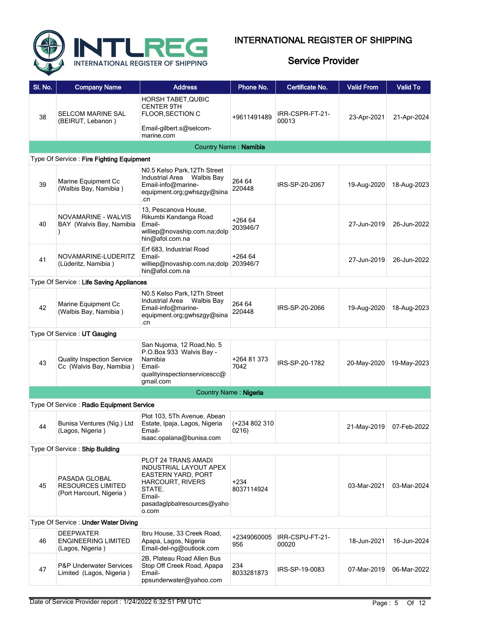

| SI. No. | <b>Company Name</b>                                                   | <b>Address</b>                                                                                                                                            | Phone No.              | Certificate No.          | <b>Valid From</b> | <b>Valid To</b> |
|---------|-----------------------------------------------------------------------|-----------------------------------------------------------------------------------------------------------------------------------------------------------|------------------------|--------------------------|-------------------|-----------------|
| 38      | <b>SELCOM MARINE SAL</b><br>(BEIRUT, Lebanon)                         | <b>HORSH TABET, QUBIC</b><br><b>CENTER 9TH</b><br><b>FLOOR, SECTION C</b>                                                                                 | +9611491489            | IRR-CSPR-FT-21-<br>00013 | 23-Apr-2021       | 21-Apr-2024     |
|         |                                                                       | Email-gilbert.s@selcom-<br>marine.com                                                                                                                     |                        |                          |                   |                 |
|         |                                                                       | Country Name: Namibia                                                                                                                                     |                        |                          |                   |                 |
|         | Type Of Service: Fire Fighting Equipment                              |                                                                                                                                                           |                        |                          |                   |                 |
| 39      | Marine Equipment Cc<br>(Walbis Bay, Namibia)                          | N0.5 Kelso Park, 12Th Street<br>Industrial Area<br><b>Walbis Bay</b><br>Email-info@marine-<br>equipment.org;gwhszgy@sina<br>.cn                           | 264 64<br>220448       | IRS-SP-20-2067           | 19-Aug-2020       | 18-Aug-2023     |
| 40      | NOVAMARINE - WALVIS<br>BAY (Walvis Bay, Namibia                       | 13, Pescanova House,<br>Rikumbi Kandanga Road<br>Email-<br>williep@novaship.com.na;dolp<br>hin@afol.com.na                                                | $+26464$<br>203946/7   |                          | 27-Jun-2019       | 26-Jun-2022     |
| 41      | NOVAMARINE-LUDERITZ<br>(Lüderitz, Namibia)                            | Erf 683, Industrial Road<br>Email-<br>williep@novaship.com.na;dolp 203946/7<br>hin@afol.com.na                                                            | $+26464$               |                          | 27-Jun-2019       | 26-Jun-2022     |
|         | Type Of Service : Life Saving Appliances                              |                                                                                                                                                           |                        |                          |                   |                 |
| 42      | Marine Equipment Cc<br>(Walbis Bay, Namibia)                          | N0.5 Kelso Park, 12Th Street<br>Industrial Area<br><b>Walbis Bay</b><br>Email-info@marine-<br>equipment.org;gwhszgy@sina<br>.cn                           | 264 64<br>220448       | IRS-SP-20-2066           | 19-Aug-2020       | 18-Aug-2023     |
|         | Type Of Service: UT Gauging                                           |                                                                                                                                                           |                        |                          |                   |                 |
| 43      | <b>Quality Inspection Service</b><br>Cc (Walvis Bay, Namibia)         | San Nujoma, 12 Road, No. 5<br>P.O.Box 933 Walvis Bay -<br>Namibia<br>Email-<br>qualityinspectionservicescc@<br>gmail.com                                  | +264 81 373<br>7042    | IRS-SP-20-1782           | 20-May-2020       | 19-May-2023     |
|         |                                                                       |                                                                                                                                                           | Country Name: Nigeria  |                          |                   |                 |
|         | Type Of Service: Radio Equipment Service                              |                                                                                                                                                           |                        |                          |                   |                 |
| 44      | Bunisa Ventures (Nig.) Ltd<br>(Lagos, Nigeria)                        | Plot 103, 5Th Avenue, Abean<br>Estate, Ipaja, Lagos, Nigeria<br>Email-<br>isaac.opalana@bunisa.com                                                        | (+234 802 310<br>0216) |                          | 21-May-2019       | 07-Feb-2022     |
|         | Type Of Service: Ship Building                                        |                                                                                                                                                           |                        |                          |                   |                 |
| 45      | PASADA GLOBAL<br><b>RESOURCES LIMITED</b><br>(Port Harcourt, Nigeria) | PLOT 24 TRANS AMADI<br>INDUSTRIAL LAYOUT APEX<br><b>EASTERN YARD, PORT</b><br>HARCOURT, RIVERS<br>STATE.<br>Email-<br>pasadaglpbalresources@yaho<br>o.com | +234<br>8037114924     |                          | 03-Mar-2021       | 03-Mar-2024     |
|         | Type Of Service: Under Water Diving                                   |                                                                                                                                                           |                        |                          |                   |                 |
| 46      | <b>DEEPWATER</b><br><b>ENGINEERING LIMITED</b><br>(Lagos, Nigeria)    | Ibru House, 33 Creek Road,<br>Apapa, Lagos, Nigeria<br>Email-del-ng@outlook.com                                                                           | +2349060005<br>956     | IRR-CSPU-FT-21-<br>00020 | 18-Jun-2021       | 16-Jun-2024     |
| 47      | <b>P&amp;P Underwater Services</b><br>Limited (Lagos, Nigeria)        | 2B, Plateau Road Allen Bus<br>Stop Off Creek Road, Apapa<br>Email-<br>ppsunderwater@yahoo.com                                                             | 234<br>8033281873      | IRS-SP-19-0083           | 07-Mar-2019       | 06-Mar-2022     |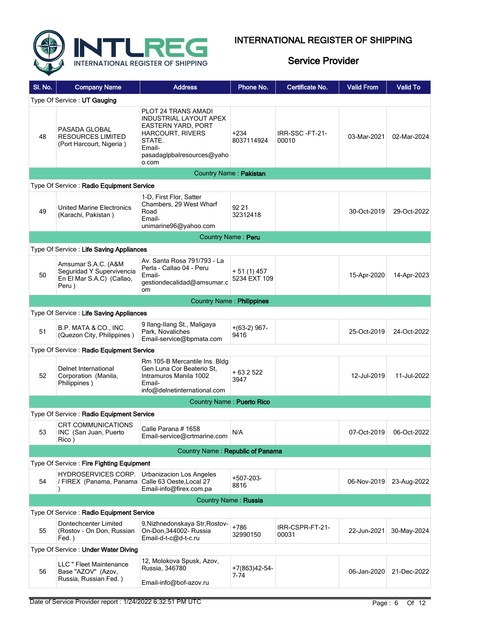

| SI. No. | <b>Company Name</b>                                                                     | <b>Address</b>                                                                                                                                                          | Phone No.                   | Certificate No.          | <b>Valid From</b> | <b>Valid To</b> |  |  |
|---------|-----------------------------------------------------------------------------------------|-------------------------------------------------------------------------------------------------------------------------------------------------------------------------|-----------------------------|--------------------------|-------------------|-----------------|--|--|
|         | Type Of Service: UT Gauging                                                             |                                                                                                                                                                         |                             |                          |                   |                 |  |  |
| 48      | PASADA GLOBAL<br>RESOURCES LIMITED<br>(Port Harcourt, Nigeria)                          | PLOT 24 TRANS AMADI<br><b>INDUSTRIAL LAYOUT APEX</b><br><b>EASTERN YARD, PORT</b><br><b>HARCOURT, RIVERS</b><br>STATE.<br>Email-<br>pasadaglpbalresources@yaho<br>o.com | $+234$<br>8037114924        | IRR-SSC-FT-21-<br>00010  | 03-Mar-2021       | 02-Mar-2024     |  |  |
|         |                                                                                         |                                                                                                                                                                         | Country Name: Pakistan      |                          |                   |                 |  |  |
|         | Type Of Service: Radio Equipment Service                                                |                                                                                                                                                                         |                             |                          |                   |                 |  |  |
| 49      | <b>United Marine Electronics</b><br>(Karachi, Pakistan)                                 | 1-D, First Flor, Satter<br>Chambers, 29 West Wharf<br>Road<br>Email-<br>unimarine96@yahoo.com                                                                           | 92 21<br>32312418           |                          | 30-Oct-2019       | 29-Oct-2022     |  |  |
|         |                                                                                         |                                                                                                                                                                         | Country Name: Peru          |                          |                   |                 |  |  |
|         | Type Of Service: Life Saving Appliances                                                 |                                                                                                                                                                         |                             |                          |                   |                 |  |  |
| 50      | Amsumar S.A.C. (A&M<br>Seguridad Y Supervivencia<br>En El Mar S.A.C) (Callao,<br>Peru ) | Av. Santa Rosa 791/793 - La<br>Perla - Callao 04 - Peru<br>Email-<br>gestiondecalidad@amsumar.c<br><b>om</b>                                                            | $+51(1)457$<br>5234 EXT 109 |                          | 15-Apr-2020       | 14-Apr-2023     |  |  |
|         | <b>Country Name: Philippines</b>                                                        |                                                                                                                                                                         |                             |                          |                   |                 |  |  |
|         | Type Of Service: Life Saving Appliances                                                 |                                                                                                                                                                         |                             |                          |                   |                 |  |  |
| 51      | B.P. MATA & CO., INC.<br>(Quezon City, Philippines)                                     | 9 Ilang-Ilang St., Maligaya<br>Park, Novaliches<br>Email-service@bpmata.com                                                                                             | $+(63-2)$ 967-<br>9416      |                          | 25-Oct-2019       | 24-Oct-2022     |  |  |
|         | Type Of Service: Radio Equipment Service                                                |                                                                                                                                                                         |                             |                          |                   |                 |  |  |
| 52      | Delnet International<br>Corporation (Manila,<br>Philippines)                            | Rm 105-B Mercantile Ins. Bldg<br>Gen Luna Cor Beaterio St.<br>Intramuros Manila 1002<br>Email-<br>info@delnetinternational.com                                          | + 63 2 522<br>3947          |                          | 12-Jul-2019       | 11-Jul-2022     |  |  |
|         |                                                                                         | Country Name: Puerto Rico                                                                                                                                               |                             |                          |                   |                 |  |  |
|         | Type Of Service: Radio Equipment Service                                                |                                                                                                                                                                         |                             |                          |                   |                 |  |  |
| 53      | <b>CRT COMMUNICATIONS</b><br>INC (San Juan, Puerto<br>Rico)                             | Calle Parana # 1658<br>Email-service@crtmarine.com                                                                                                                      | N/A                         |                          | 07-Oct-2019       | 06-Oct-2022     |  |  |
|         |                                                                                         | Country Name: Republic of Panama                                                                                                                                        |                             |                          |                   |                 |  |  |
|         | Type Of Service: Fire Fighting Equipment                                                |                                                                                                                                                                         |                             |                          |                   |                 |  |  |
| 54      | HYDROSERVICES CORP.<br>/ FIREX (Panama, Panama Calle 63 Oeste, Local 27                 | Urbanizacion Los Angeles<br>Email-info@firex.com.pa                                                                                                                     | +507-203-<br>8816           |                          | 06-Nov-2019       | 23-Aug-2022     |  |  |
|         |                                                                                         |                                                                                                                                                                         | <b>Country Name: Russia</b> |                          |                   |                 |  |  |
|         | Type Of Service: Radio Equipment Service                                                |                                                                                                                                                                         |                             |                          |                   |                 |  |  |
| 55      | Dontechcenter Limited<br>(Rostov - On Don, Russian<br>Fed.)                             | 9, Nizhnedonskaya Str, Rostov-<br>On-Don.344002- Russia<br>Email-d-t-c@d-t-c.ru                                                                                         | +786<br>32990150            | IRR-CSPR-FT-21-<br>00031 | 22-Jun-2021       | 30-May-2024     |  |  |
|         | Type Of Service: Under Water Diving                                                     |                                                                                                                                                                         |                             |                          |                   |                 |  |  |
| 56      | LLC " Fleet Maintenance<br>Base "AZOV" (Azov,<br>Russia, Russian Fed.)                  | 12, Molokova Spusk, Azov,<br>Russia, 346780<br>Email-info@bof-azov.ru                                                                                                   | +7(863)42-54-<br>7-74       |                          | 06-Jan-2020       | 21-Dec-2022     |  |  |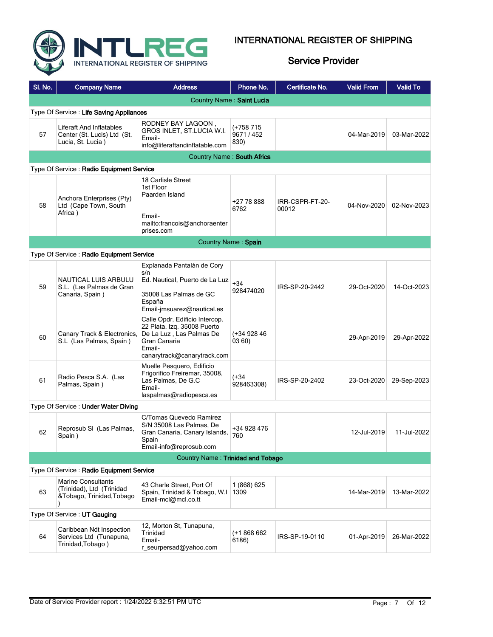

| SI. No. | <b>Company Name</b>                                                                 | <b>Address</b>                                                                                                                                     | Phone No.                     | Certificate No.          | <b>Valid From</b> | <b>Valid To</b> |  |  |  |
|---------|-------------------------------------------------------------------------------------|----------------------------------------------------------------------------------------------------------------------------------------------------|-------------------------------|--------------------------|-------------------|-----------------|--|--|--|
|         | Country Name: Saint Lucia                                                           |                                                                                                                                                    |                               |                          |                   |                 |  |  |  |
|         | Type Of Service: Life Saving Appliances                                             |                                                                                                                                                    |                               |                          |                   |                 |  |  |  |
| 57      | Liferaft And Inflatables<br>Center (St. Lucis) Ltd (St.<br>Lucia, St. Lucia)        | RODNEY BAY LAGOON,<br>GROS INLET, ST.LUCIA W.I.<br>Email-<br>info@liferaftandinflatable.com                                                        | (+758 715<br>9671/452<br>830) |                          | 04-Mar-2019       | 03-Mar-2022     |  |  |  |
|         |                                                                                     | Country Name: South Africa                                                                                                                         |                               |                          |                   |                 |  |  |  |
|         | Type Of Service: Radio Equipment Service                                            |                                                                                                                                                    |                               |                          |                   |                 |  |  |  |
| 58      | Anchora Enterprises (Pty)<br>Ltd (Cape Town, South<br>Africa)                       | 18 Carlisle Street<br>1st Floor<br>Paarden Island<br>Email-<br>mailto:francois@anchoraenter<br>prises.com                                          | +27 78 888<br>6762            | IRR-CSPR-FT-20-<br>00012 | 04-Nov-2020       | 02-Nov-2023     |  |  |  |
|         |                                                                                     |                                                                                                                                                    | Country Name: Spain           |                          |                   |                 |  |  |  |
|         | Type Of Service: Radio Equipment Service                                            |                                                                                                                                                    |                               |                          |                   |                 |  |  |  |
| 59      | NAUTICAL LUIS ARBULU<br>S.L. (Las Palmas de Gran<br>Canaria, Spain)                 | Explanada Pantalán de Cory<br>s/n<br>Ed. Nautical, Puerto de La Luz<br>35008 Las Palmas de GC<br>España<br>Email-imsuarez@nautical.es              | $+34$<br>928474020            | IRS-SP-20-2442           | 29-Oct-2020       | 14-Oct-2023     |  |  |  |
| 60      | Canary Track & Electronics,<br>S.L (Las Palmas, Spain)                              | Calle Opdr, Edificio Intercop.<br>22 Plata. Izq. 35008 Puerto<br>De La Luz, Las Palmas De<br>Gran Canaria<br>Email-<br>canarytrack@canarytrack.com | $(+3492846)$<br>03 60)        |                          | 29-Apr-2019       | 29-Apr-2022     |  |  |  |
| 61      | Radio Pesca S.A. (Las<br>Palmas, Spain)                                             | Muelle Pesquero, Edificio<br>Frigorifico Freiremar, 35008,<br>Las Palmas, De G.C<br>Email-<br>laspalmas@radiopesca.es                              | $(+34)$<br>928463308)         | IRS-SP-20-2402           | 23-Oct-2020       | 29-Sep-2023     |  |  |  |
|         | Type Of Service: Under Water Diving                                                 |                                                                                                                                                    |                               |                          |                   |                 |  |  |  |
| 62      | Reprosub SI (Las Palmas,<br>Spain)                                                  | C/Tomas Quevedo Ramirez<br>S/N 35008 Las Palmas, De<br>Gran Canaria, Canary Islands,<br>Spain<br>Email-info@reprosub.com                           | +34 928 476<br>760            |                          | 12-Jul-2019       | 11-Jul-2022     |  |  |  |
|         |                                                                                     | Country Name: Trinidad and Tobago                                                                                                                  |                               |                          |                   |                 |  |  |  |
|         | Type Of Service: Radio Equipment Service                                            |                                                                                                                                                    |                               |                          |                   |                 |  |  |  |
| 63      | <b>Marine Consultants</b><br>(Trinidad), Ltd (Trinidad<br>&Tobago, Trinidad, Tobago | 43 Charle Street, Port Of<br>Spain, Trinidad & Tobago, W.I.<br>Email-mcl@mcl.co.tt                                                                 | 1 (868) 625<br>1309           |                          | 14-Mar-2019       | 13-Mar-2022     |  |  |  |
|         | Type Of Service: UT Gauging                                                         |                                                                                                                                                    |                               |                          |                   |                 |  |  |  |
| 64      | Caribbean Ndt Inspection<br>Services Ltd (Tunapuna,<br>Trinidad, Tobago)            | 12, Morton St, Tunapuna,<br>Trinidad<br>Email-<br>r_seurpersad@yahoo.com                                                                           | $(+1868662)$<br>6186)         | IRS-SP-19-0110           | 01-Apr-2019       | 26-Mar-2022     |  |  |  |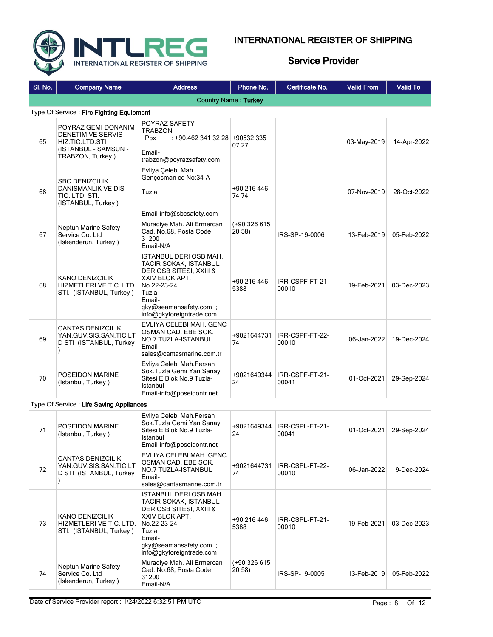



| SI. No.                                  | <b>Company Name</b>                                                                                     | <b>Address</b>                                                                                                                                                                              | Phone No.                        | Certificate No.          | <b>Valid From</b> | <b>Valid To</b> |  |  |  |
|------------------------------------------|---------------------------------------------------------------------------------------------------------|---------------------------------------------------------------------------------------------------------------------------------------------------------------------------------------------|----------------------------------|--------------------------|-------------------|-----------------|--|--|--|
|                                          | Country Name: Turkey                                                                                    |                                                                                                                                                                                             |                                  |                          |                   |                 |  |  |  |
| Type Of Service: Fire Fighting Equipment |                                                                                                         |                                                                                                                                                                                             |                                  |                          |                   |                 |  |  |  |
| 65                                       | POYRAZ GEMI DONANIM<br>DENETIM VE SERVIS<br>HIZ TIC LTD STI<br>(ISTANBUL - SAMSUN -<br>TRABZON, Turkey) | POYRAZ SAFETY -<br><b>TRABZON</b><br><b>Pbx</b><br>: +90.462 341 32 28 +90532 335<br>Email-<br>trabzon@poyrazsafety.com                                                                     | 07 27                            |                          | 03-May-2019       | 14-Apr-2022     |  |  |  |
| 66                                       | <b>SBC DENIZCILIK</b><br><b>DANISMANLIK VE DIS</b><br>tic. Ltd. Sti.<br>(ISTANBUL, Turkey)              | Evliya Celebi Mah.<br>Gençosman cd No:34-A<br>Tuzla<br>Email-info@sbcsafety.com                                                                                                             | +90 216 446<br>74 74             |                          | 07-Nov-2019       | 28-Oct-2022     |  |  |  |
| 67                                       | <b>Neptun Marine Safety</b><br>Service Co. Ltd<br>(Iskenderun, Turkey)                                  | Muradiye Mah. Ali Ermercan<br>Cad. No.68, Posta Code<br>31200<br>Email-N/A                                                                                                                  | (+90 326 615<br>20 58)           | IRS-SP-19-0006           | 13-Feb-2019       | 05-Feb-2022     |  |  |  |
| 68                                       | KANO DENIZCILIK<br>HIZMETLERI VE TIC. LTD.<br>STI. (ISTANBUL, Turkey)                                   | ISTANBUL DERI OSB MAH.,<br><b>TACIR SOKAK, ISTANBUL</b><br>DER OSB SITESI, XXIII &<br>XXIV BLOK APT.<br>No.22-23-24<br>Tuzla<br>Email-<br>gky@seamansafety.com;<br>info@gkyforeigntrade.com | +90 216 446<br>5388              | IRR-CSPF-FT-21-<br>00010 | 19-Feb-2021       | 03-Dec-2023     |  |  |  |
| 69                                       | <b>CANTAS DENIZCILIK</b><br>YAN GUV SIS SAN TIC LT<br>D STI (ISTANBUL, Turkey                           | EVLIYA CELEBI MAH. GENC<br>OSMAN CAD. EBE SOK.<br>NO.7 TUZLA-ISTANBUL<br>Email-<br>sales@cantasmarine.com.tr                                                                                | +9021644731<br>74                | IRR-CSPF-FT-22-<br>00010 | 06-Jan-2022       | 19-Dec-2024     |  |  |  |
| 70                                       | POSEIDON MARINE<br>(Istanbul, Turkey)                                                                   | Evliya Celebi Mah.Fersah<br>Sok.Tuzla Gemi Yan Sanayi<br>Sitesi E Blok No.9 Tuzla-<br>Istanbul<br>Email-info@poseidontr.net                                                                 | +9021649344<br>24                | IRR-CSPF-FT-21-<br>00041 | 01-Oct-2021       | 29-Sep-2024     |  |  |  |
|                                          | Type Of Service: Life Saving Appliances                                                                 |                                                                                                                                                                                             |                                  |                          |                   |                 |  |  |  |
| 71                                       | POSEIDON MARINE<br>(Istanbul, Turkey)                                                                   | Evliya Celebi Mah.Fersah<br>Sok.Tuzla Gemi Yan Sanayi<br>Sitesi E Blok No.9 Tuzla-<br>Istanbul<br>Email-info@poseidontr.net                                                                 | +9021649344<br>24                | IRR-CSPL-FT-21-<br>00041 | 01-Oct-2021       | 29-Sep-2024     |  |  |  |
| 72                                       | CANTAS DENIZCILIK<br>YAN GUV SIS SAN TIC LT<br>D STI (ISTANBUL, Turkey                                  | EVLIYA CELEBI MAH. GENC<br>OSMAN CAD. EBE SOK.<br>NO.7 TUZLA-ISTANBUL<br>Email-<br>sales@cantasmarine.com.tr                                                                                | +9021644731<br>74                | IRR-CSPL-FT-22-<br>00010 | 06-Jan-2022       | 19-Dec-2024     |  |  |  |
| 73                                       | KANO DENIZCILIK<br>HIZMETLERI VE TIC. LTD.<br>STI. (ISTANBUL, Turkey)                                   | ISTANBUL DERI OSB MAH.,<br>TACIR SOKAK, ISTANBUL<br>DER OSB SITESI, XXIII &<br>XXIV BLOK APT.<br>No.22-23-24<br>Tuzla<br>Email-<br>gky@seamansafety.com;<br>info@gkyforeigntrade.com        | +90 216 446<br>5388              | IRR-CSPL-FT-21-<br>00010 | 19-Feb-2021       | 03-Dec-2023     |  |  |  |
| 74                                       | <b>Neptun Marine Safety</b><br>Service Co. Ltd<br>(Iskenderun, Turkey)                                  | Muradiye Mah. Ali Ermercan<br>Cad. No.68, Posta Code<br>31200<br>Email-N/A                                                                                                                  | (+90 326 615<br>20 <sub>58</sub> | IRS-SP-19-0005           | 13-Feb-2019       | 05-Feb-2022     |  |  |  |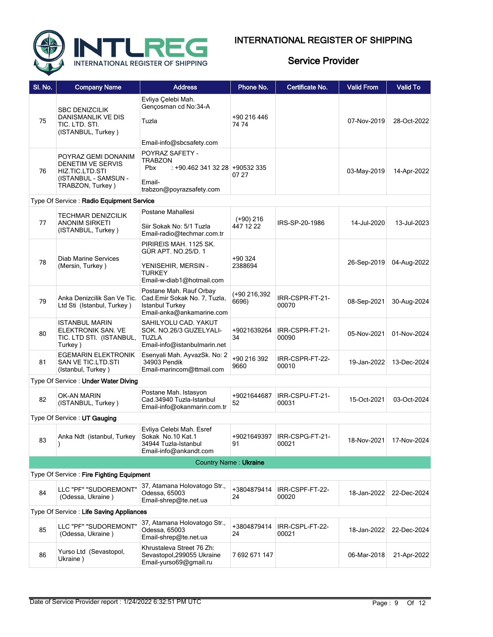

| SI. No. | <b>Company Name</b>                                                                                     | <b>Address</b>                                                                                                     | Phone No.              | Certificate No.                        | <b>Valid From</b> | <b>Valid To</b> |
|---------|---------------------------------------------------------------------------------------------------------|--------------------------------------------------------------------------------------------------------------------|------------------------|----------------------------------------|-------------------|-----------------|
| 75      | <b>SBC DENIZCILIK</b><br>DANISMANLIK VE DIS<br>TIC. LTD. STI.<br>(ISTANBUL, Turkey)                     | Evliya Çelebi Mah.<br>Gençosman cd No:34-A<br>Tuzla<br>Email-info@sbcsafety.com                                    | +90 216 446<br>74 74   |                                        | 07-Nov-2019       | 28-Oct-2022     |
| 76      | POYRAZ GEMI DONANIM<br>DENETIM VE SERVIS<br>HIZ TIC LTD STI<br>(ISTANBUL - SAMSUN -<br>TRABZON, Turkey) | POYRAZ SAFETY -<br>TRABZON<br>Pbx<br>: +90.462 341 32 28 +90532 335<br>Email-<br>trabzon@poyrazsafety.com          | 07 27                  |                                        | 03-May-2019       | 14-Apr-2022     |
|         | Type Of Service: Radio Equipment Service                                                                |                                                                                                                    |                        |                                        |                   |                 |
| 77      | <b>TECHMAR DENIZCILIK</b><br><b>ANONIM SIRKETI</b><br>(ISTANBUL, Turkey)                                | Postane Mahallesi<br>Siir Sokak No: 5/1 Tuzla<br>Email-radio@techmar.com.tr                                        | (+90) 216<br>447 12 22 | IRS-SP-20-1986                         | 14-Jul-2020       | 13-Jul-2023     |
| 78      | <b>Diab Marine Services</b><br>(Mersin, Turkey)                                                         | PIRIREIS MAH. 1125 SK.<br>GÜR APT. NO.25/D. 1<br>YENISEHIR, MERSIN -<br><b>TURKEY</b><br>Email-w-diab1@hotmail.com | +90 324<br>2388694     |                                        | 26-Sep-2019       | 04-Aug-2022     |
| 79      | Anka Denizcilik San Ve Tic.<br>Ltd Sti (Istanbul, Turkey)                                               | Postane Mah. Rauf Orbay<br>Cad.Emir Sokak No. 7, Tuzla,<br><b>Istanbul Turkey</b><br>Email-anka@ankamarine.com     | (+90 216,392<br>6696)  | IRR-CSPR-FT-21-<br>00070               | 08-Sep-2021       | 30-Aug-2024     |
| 80      | <b>ISTANBUL MARIN</b><br>ELEKTRONIK SAN. VE<br>TIC. LTD STI. (ISTANBUL,<br>Turkey)                      | SAHILYOLU CAD. YAKUT<br>SOK. NO.26/3 GUZELYALI-<br><b>TUZLA</b><br>Email-info@istanbulmarin.net                    | +9021639264<br>34      | IRR-CSPR-FT-21-<br>00090               | 05-Nov-2021       | 01-Nov-2024     |
| 81      | <b>EGEMARIN ELEKTRONIK</b><br>SAN VE TIC.LTD.STI<br>(Istanbul, Turkey)                                  | Esenyali Mah. AyvazSk. No: 2<br>34903 Pendik<br>Email-marincom@ttmail.com                                          | +90 216 392<br>9660    | IRR-CSPR-FT-22-<br>00010               | 19-Jan-2022       | 13-Dec-2024     |
|         | Type Of Service: Under Water Diving                                                                     |                                                                                                                    |                        |                                        |                   |                 |
| 82      | <b>OK-AN MARIN</b><br>(ISTANBUL, Turkey)                                                                | Postane Mah. Istasyon<br>Cad.34940 Tuzla-Istanbul<br>Email-info@okanmarin.com.tr                                   | +9021644687<br>52      | IRR-CSPU-FT-21-<br>00031               | 15-Oct-2021       | 03-Oct-2024     |
|         | Type Of Service: UT Gauging                                                                             |                                                                                                                    |                        |                                        |                   |                 |
| 83      | Anka Ndt (istanbul, Turkey                                                                              | Evliya Celebi Mah. Esref<br>Sokak No.10 Kat.1<br>34944 Tuzla-Istanbul<br>Email-info@ankandt.com                    | 91                     | +9021649397   IRR-CSPG-FT-21-<br>00021 | 18-Nov-2021       | 17-Nov-2024     |
|         |                                                                                                         | <b>Country Name: Ukraine</b>                                                                                       |                        |                                        |                   |                 |
|         | Type Of Service: Fire Fighting Equipment                                                                |                                                                                                                    |                        |                                        |                   |                 |
| 84      | LLC "PF" "SUDOREMONT"<br>(Odessa, Ukraine)                                                              | 37, Atamana Holovatogo Str.,<br>Odessa, 65003<br>Email-shrep@te.net.ua                                             | +3804879414<br>24      | IRR-CSPF-FT-22-<br>00020               | 18-Jan-2022       | 22-Dec-2024     |
|         | Type Of Service: Life Saving Appliances                                                                 |                                                                                                                    |                        |                                        |                   |                 |
| 85      | LLC "PF" "SUDOREMONT"<br>(Odessa, Ukraine)                                                              | 37, Atamana Holovatogo Str.,<br>Odessa, 65003<br>Email-shrep@te.net.ua                                             | +3804879414<br>24      | IRR-CSPL-FT-22-<br>00021               | 18-Jan-2022       | 22-Dec-2024     |
| 86      | Yurso Ltd (Sevastopol,<br>Ukraine)                                                                      | Khrustaleva Street 76 Zh:<br>Sevastopol, 299055 Ukraine<br>Email-yurso69@gmail.ru                                  | 7692671147             |                                        | 06-Mar-2018       | 21-Apr-2022     |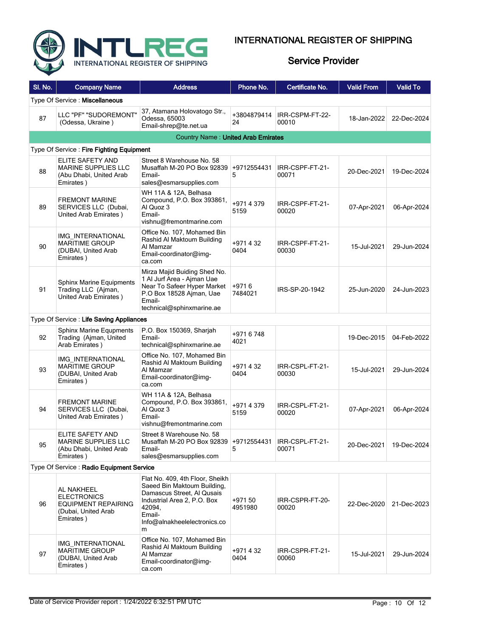

| SI. No. | <b>Company Name</b>                                                                    | <b>Address</b>                                                                                                                                                                       | Phone No.          | Certificate No.          | <b>Valid From</b> | <b>Valid To</b> |
|---------|----------------------------------------------------------------------------------------|--------------------------------------------------------------------------------------------------------------------------------------------------------------------------------------|--------------------|--------------------------|-------------------|-----------------|
|         | Type Of Service: Miscellaneous                                                         |                                                                                                                                                                                      |                    |                          |                   |                 |
| 87      | LLC "PF" "SUDOREMONT"<br>(Odessa, Ukraine)                                             | 37, Atamana Holovatogo Str.,<br>Odessa, 65003<br>Email-shrep@te.net.ua                                                                                                               | +3804879414<br>24  | IRR-CSPM-FT-22-<br>00010 | 18-Jan-2022       | 22-Dec-2024     |
|         |                                                                                        | <b>Country Name: United Arab Emirates</b>                                                                                                                                            |                    |                          |                   |                 |
|         | Type Of Service: Fire Fighting Equipment                                               |                                                                                                                                                                                      |                    |                          |                   |                 |
| 88      | ELITE SAFETY AND<br><b>MARINE SUPPLIES LLC</b><br>(Abu Dhabi, United Arab<br>Emirates) | Street 8 Warehouse No. 58<br>Musaffah M-20 PO Box 92839<br>Email-<br>sales@esmarsupplies.com                                                                                         | +9712554431<br>5   | IRR-CSPF-FT-21-<br>00071 | 20-Dec-2021       | 19-Dec-2024     |
| 89      | <b>FREMONT MARINE</b><br>SERVICES LLC (Dubai,<br>United Arab Emirates)                 | WH 11A & 12A, Belhasa<br>Compound, P.O. Box 393861,<br>Al Quoz 3<br>Email-<br>vishnu@fremontmarine.com                                                                               | +9714379<br>5159   | IRR-CSPF-FT-21-<br>00020 | 07-Apr-2021       | 06-Apr-2024     |
| 90      | IMG INTERNATIONAL<br><b>MARITIME GROUP</b><br>(DUBAI, United Arab<br>Emirates)         | Office No. 107, Mohamed Bin<br>Rashid Al Maktoum Building<br>Al Mamzar<br>Email-coordinator@img-<br>ca.com                                                                           | +971432<br>0404    | IRR-CSPF-FT-21-<br>00030 | 15-Jul-2021       | 29-Jun-2024     |
| 91      | <b>Sphinx Marine Equipments</b><br>Trading LLC (Ajman,<br>United Arab Emirates)        | Mirza Majid Buiding Shed No.<br>1 Al Jurf Area - Ajman Uae<br>Near To Safeer Hyper Market<br>P.O Box 18528 Ajman, Uae<br>Email-<br>technical@sphinxmarine.ae                         | $+9716$<br>7484021 | IRS-SP-20-1942           | 25-Jun-2020       | 24-Jun-2023     |
|         | Type Of Service: Life Saving Appliances                                                |                                                                                                                                                                                      |                    |                          |                   |                 |
| 92      | <b>Sphinx Marine Equpments</b><br>Trading (Ajman, United<br>Arab Emirates)             | P.O. Box 150369, Sharjah<br>Email-<br>technical@sphinxmarine.ae                                                                                                                      | +9716748<br>4021   |                          | 19-Dec-2015       | 04-Feb-2022     |
| 93      | IMG INTERNATIONAL<br><b>MARITIME GROUP</b><br>(DUBAI, United Arab<br>Emirates)         | Office No. 107, Mohamed Bin<br>Rashid Al Maktoum Building<br>Al Mamzar<br>Email-coordinator@img-<br>ca.com                                                                           | +971432<br>0404    | IRR-CSPL-FT-21-<br>00030 | 15-Jul-2021       | 29-Jun-2024     |
| 94      | <b>FREMONT MARINE</b><br>SERVICES LLC (Dubai,<br>United Arab Emirates)                 | WH 11A & 12A, Belhasa<br>Compound, P.O. Box 393861,<br>Al Quoz 3<br>Email-<br>vishnu@fremontmarine.com                                                                               | +9714379<br>5159   | IRR-CSPL-FT-21-<br>00020 | 07-Apr-2021       | 06-Apr-2024     |
| 95      | ELITE SAFETY AND<br>MARINE SUPPLIES LLC<br>(Abu Dhabi, United Arab<br>Emirates)        | Street 8 Warehouse No. 58<br>Musaffah M-20 PO Box 92839 +9712554431<br>Email-<br>sales@esmarsupplies.com                                                                             | 5                  | IRR-CSPL-FT-21-<br>00071 | 20-Dec-2021       | 19-Dec-2024     |
|         | Type Of Service: Radio Equipment Service                                               |                                                                                                                                                                                      |                    |                          |                   |                 |
| 96      | AL NAKHEEL<br>ELECTRONICS<br>EQUIPMENT REPAIRING<br>(Dubai, United Arab<br>Emirates)   | Flat No. 409, 4th Floor, Sheikh<br>Saeed Bin Maktoum Building,<br>Damascus Street, Al Qusais<br>Industrial Area 2, P.O. Box<br>42094,<br>Email-<br>Info@alnakheelelectronics.co<br>m | +971 50<br>4951980 | IRR-CSPR-FT-20-<br>00020 | 22-Dec-2020       | 21-Dec-2023     |
| 97      | IMG INTERNATIONAL<br><b>MARITIME GROUP</b><br>(DUBAI, United Arab<br>Emirates)         | Office No. 107, Mohamed Bin<br>Rashid Al Maktoum Building<br>Al Mamzar<br>Email-coordinator@img-<br>ca.com                                                                           | +971432<br>0404    | IRR-CSPR-FT-21-<br>00060 | 15-Jul-2021       | 29-Jun-2024     |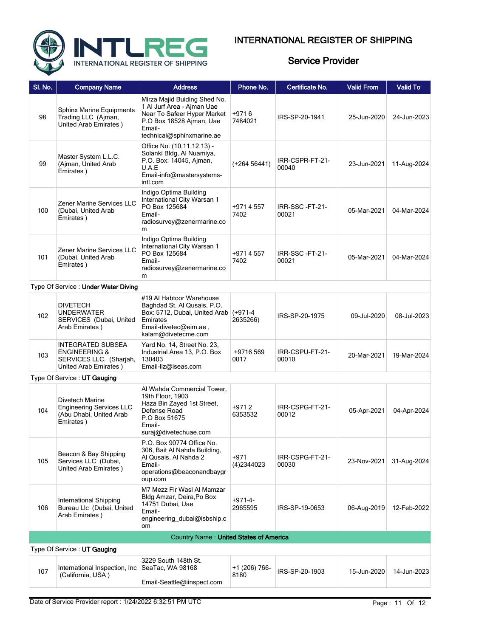

| <b>Company Name</b>                                                                               | <b>Address</b>                                                                                                                                               | Phone No.              | Certificate No.               | <b>Valid From</b>                      | <b>Valid To</b> |
|---------------------------------------------------------------------------------------------------|--------------------------------------------------------------------------------------------------------------------------------------------------------------|------------------------|-------------------------------|----------------------------------------|-----------------|
| <b>Sphinx Marine Equipments</b><br>Trading LLC (Ajman,<br>United Arab Emirates)                   | Mirza Majid Buiding Shed No.<br>1 Al Jurf Area - Ajman Uae<br>Near To Safeer Hyper Market<br>P.O Box 18528 Ajman, Uae<br>Email-<br>technical@sphinxmarine.ae | $+9716$<br>7484021     | IRS-SP-20-1941                | 25-Jun-2020                            | 24-Jun-2023     |
| Master System L.L.C.<br>(Ajman, United Arab<br>Emirates)                                          | Office No. (10,11,12,13) -<br>Solanki Bldg, Al Nuamiya,<br>P.O. Box: 14045, Ajman,<br>U.A.E<br>Email-info@mastersystems-<br>intl.com                         | $(+26456441)$          | IRR-CSPR-FT-21-<br>00040      | 23-Jun-2021                            | 11-Aug-2024     |
| Zener Marine Services LLC<br>(Dubai, United Arab<br>Emirates)                                     | Indigo Optima Building<br>International City Warsan 1<br>PO Box 125684<br>Email-<br>radiosurvey@zenermarine.co<br>m                                          | +9714557<br>7402       | IRR-SSC-FT-21-<br>00021       | 05-Mar-2021                            | 04-Mar-2024     |
| Zener Marine Services LLC<br>(Dubai, United Arab<br>Emirates)                                     | Indigo Optima Building<br>International City Warsan 1<br>PO Box 125684<br>Email-<br>radiosurvey@zenermarine.co<br>m                                          | +9714557<br>7402       | IRR-SSC-FT-21-<br>00021       | 05-Mar-2021                            | 04-Mar-2024     |
| Type Of Service: Under Water Diving                                                               |                                                                                                                                                              |                        |                               |                                        |                 |
| <b>DIVETECH</b><br><b>UNDERWATER</b><br>SERVICES (Dubai, United<br>Arab Emirates)                 | #19 Al Habtoor Warehouse<br>Baghdad St. Al Qusais, P.O.<br>Emirates<br>Email-divetec@eim.ae,<br>kalam@divetecme.com                                          | $(+971-4)$<br>2635266) | IRS-SP-20-1975                | 09-Jul-2020                            | 08-Jul-2023     |
| INTEGRATED SUBSEA<br><b>ENGINEERING &amp;</b><br>SERVICES LLC. (Sharjah,<br>United Arab Emirates) | Yard No. 14, Street No. 23,<br>Industrial Area 13, P.O. Box<br>130403<br>Email-liz@iseas.com                                                                 | +9716 569<br>0017      | IRR-CSPU-FT-21-<br>00010      | 20-Mar-2021                            | 19-Mar-2024     |
| Type Of Service: UT Gauging                                                                       |                                                                                                                                                              |                        |                               |                                        |                 |
| Divetech Marine<br><b>Engineering Services LLC</b><br>(Abu Dhabi, United Arab<br>Emirates)        | Al Wahda Commercial Tower,<br>19th Floor, 1903<br>Haza Bin Zayed 1st Street,<br>Defense Road<br>P.O Box 51675<br>Email-<br>suraj@divetechuae.com             | +9712<br>6353532       | IRR-CSPG-FT-21-<br>00012      | 05-Apr-2021                            | 04-Apr-2024     |
| Beacon & Bay Shipping<br>Services LLC (Dubai,<br>United Arab Emirates)                            | P.O. Box 90774 Office No.<br>306, Bait Al Nahda Building,<br>Al Qusais, Al Nahda 2<br>Email-<br>operations@beaconandbaygr<br>oup.com                         | $+971$<br>(4)2344023   | IRR-CSPG-FT-21-<br>00030      | 23-Nov-2021                            | 31-Aug-2024     |
| International Shipping<br>Bureau Llc (Dubai, United<br>Arab Emirates)                             | M7 Mezz Fir Wasl Al Mamzar<br>Bldg Amzar, Deira, Po Box<br>14751 Dubai, Uae<br>Email-<br>engineering dubai@isbship.c<br>om                                   | $+971-4-$<br>2965595   | IRS-SP-19-0653                | 06-Aug-2019                            | 12-Feb-2022     |
|                                                                                                   |                                                                                                                                                              |                        |                               |                                        |                 |
| Type Of Service: UT Gauging                                                                       |                                                                                                                                                              |                        |                               |                                        |                 |
| International Inspection, Inc.<br>(California, USA)                                               | 3229 South 148th St.<br>SeaTac, WA 98168<br>Email-Seattle@iinspect.com                                                                                       | +1 (206) 766-<br>8180  | IRS-SP-20-1903                | 15-Jun-2020                            | 14-Jun-2023     |
|                                                                                                   |                                                                                                                                                              |                        | Box: 5712, Dubai, United Arab | Country Name: United States of America |                 |